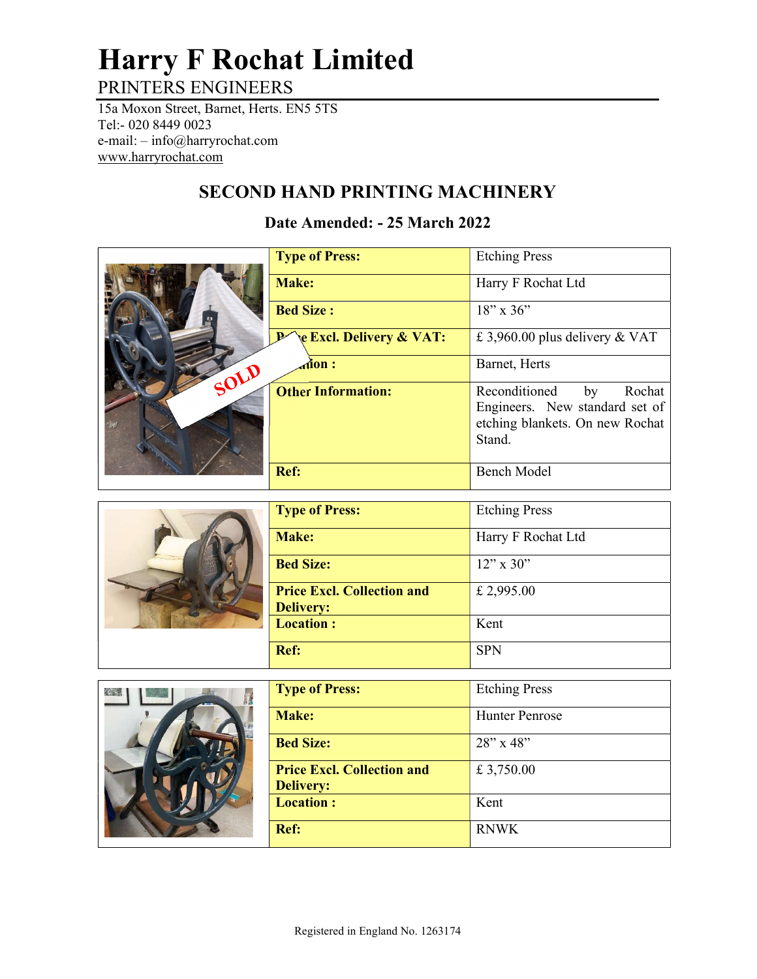## Harry F Rochat Limited PRINTERS ENGINEERS

15a Moxon Street, Barnet, Herts. EN5 5TS Tel:- 020 8449 0023 e-mail: – info@harryrochat.com

www.harryrochat.com

## SECOND HAND PRINTING MACHINERY

## Date Amended: - 25 March 2022

|      | <b>Type of Press:</b>                                 | <b>Etching Press</b>                                                                                         |
|------|-------------------------------------------------------|--------------------------------------------------------------------------------------------------------------|
|      | Make:                                                 | Harry F Rochat Ltd                                                                                           |
|      | <b>Bed Size:</b>                                      | $18''$ x 36"                                                                                                 |
|      | <b>Excl. Delivery &amp; VAT:</b>                      | £ 3,960.00 plus delivery & VAT                                                                               |
| SOLD | $\dot{\mathbf{d}}$ on :                               | Barnet, Herts                                                                                                |
|      | <b>Other Information:</b>                             | Reconditioned<br>Rochat<br>by<br>Engineers. New standard set of<br>etching blankets. On new Rochat<br>Stand. |
|      | Ref:                                                  | <b>Bench Model</b>                                                                                           |
|      |                                                       |                                                                                                              |
|      | <b>Type of Press:</b>                                 | <b>Etching Press</b>                                                                                         |
|      | Make:                                                 | Harry F Rochat Ltd                                                                                           |
|      | <b>Bed Size:</b>                                      | $12"$ x 30"                                                                                                  |
|      | <b>Price Excl. Collection and</b><br><b>Delivery:</b> | £ 2,995.00                                                                                                   |
|      | <b>Location:</b>                                      | Kent                                                                                                         |
|      | Ref:                                                  | <b>SPN</b>                                                                                                   |
|      |                                                       |                                                                                                              |
|      | <b>Type of Press:</b>                                 | <b>Etching Press</b>                                                                                         |
|      | Make:                                                 | <b>Hunter Penrose</b>                                                                                        |
|      | <b>Bed Size:</b>                                      | 28" x 48"                                                                                                    |
|      | <b>Price Excl. Collection and</b>                     | £ 3,750.00                                                                                                   |

Location : Kent

Ref: RNWK

£ 3,750.00

Delivery: